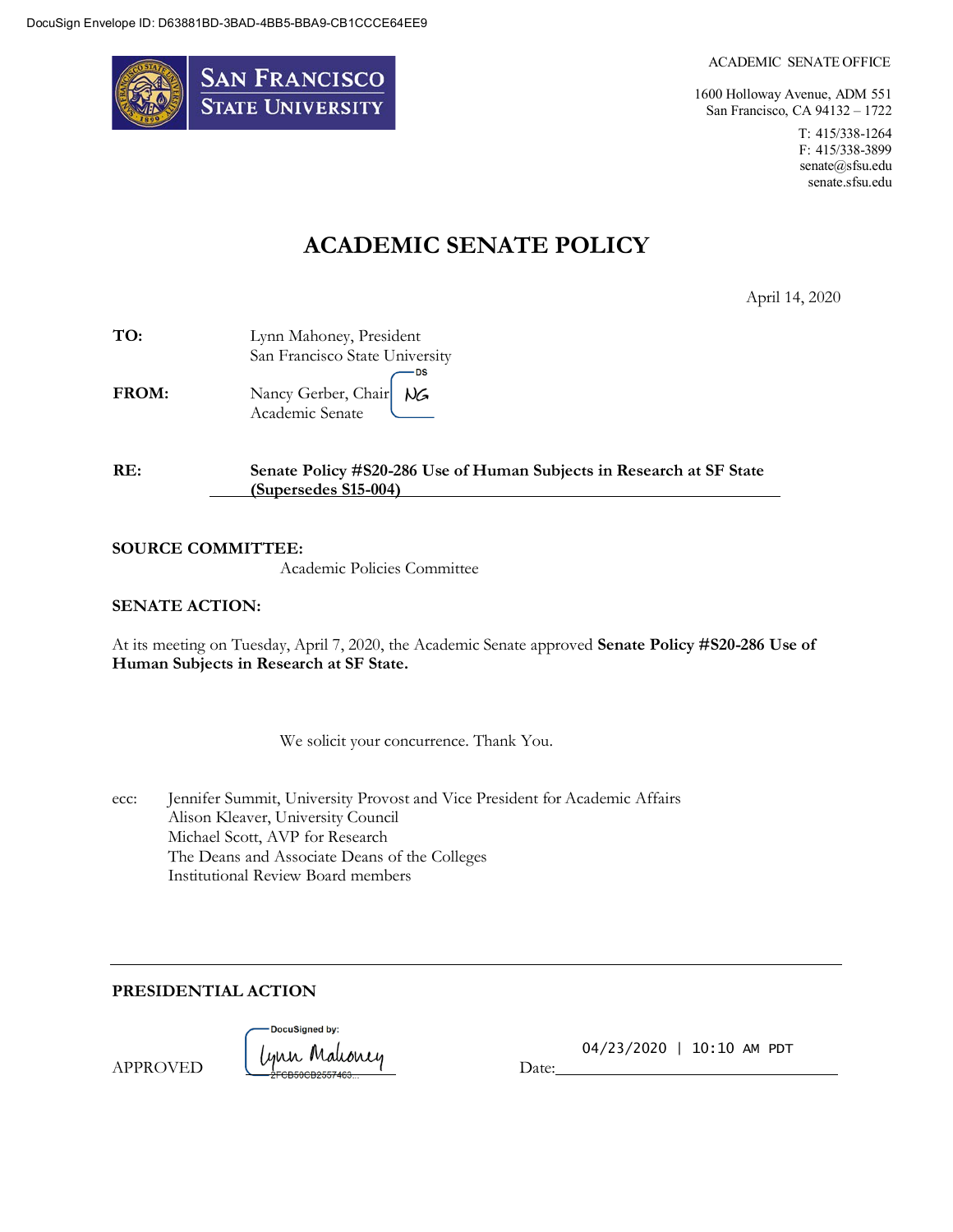

#### ACADEMIC SENATE OFFICE

1600 Holloway Avenue, ADM 551 San Francisco, CA 94132 – 1722

> T: 415/338-1264 F: 415/338-3899 [senate@sfsu.edu](mailto:senate@sfsu.edu) senate.sfsu.edu

# **ACADEMIC SENATE POLICY**

April 14, 2020

| TO:   | Lynn Mahoney, President        |
|-------|--------------------------------|
|       | San Francisco State University |
|       | DS                             |
| FROM: | Nancy Gerber, Chair NG         |
|       | Academic Senate                |

| RE: | Senate Policy #S20-286 Use of Human Subjects in Research at SF State |
|-----|----------------------------------------------------------------------|
|     | $(Super sedes S15-004)$                                              |

#### **SOURCE COMMITTEE:**

Academic Policies Committee

#### **SENATE ACTION:**

At its meeting on Tuesday, April 7, 2020, the Academic Senate approved **Senate Policy #S20-286 Use of Human Subjects in Research at SF State.**

We solicit your concurrence. Thank You.

| ecc: | Jennifer Summit, University Provost and Vice President for Academic Affairs |
|------|-----------------------------------------------------------------------------|
|      | Alison Kleaver, University Council                                          |
|      | Michael Scott, AVP for Research                                             |
|      | The Deans and Associate Deans of the Colleges                               |
|      | Institutional Review Board members                                          |

**PRESIDENTIAL ACTION**

APPROVED



04/23/2020 | 10:10 AM PDT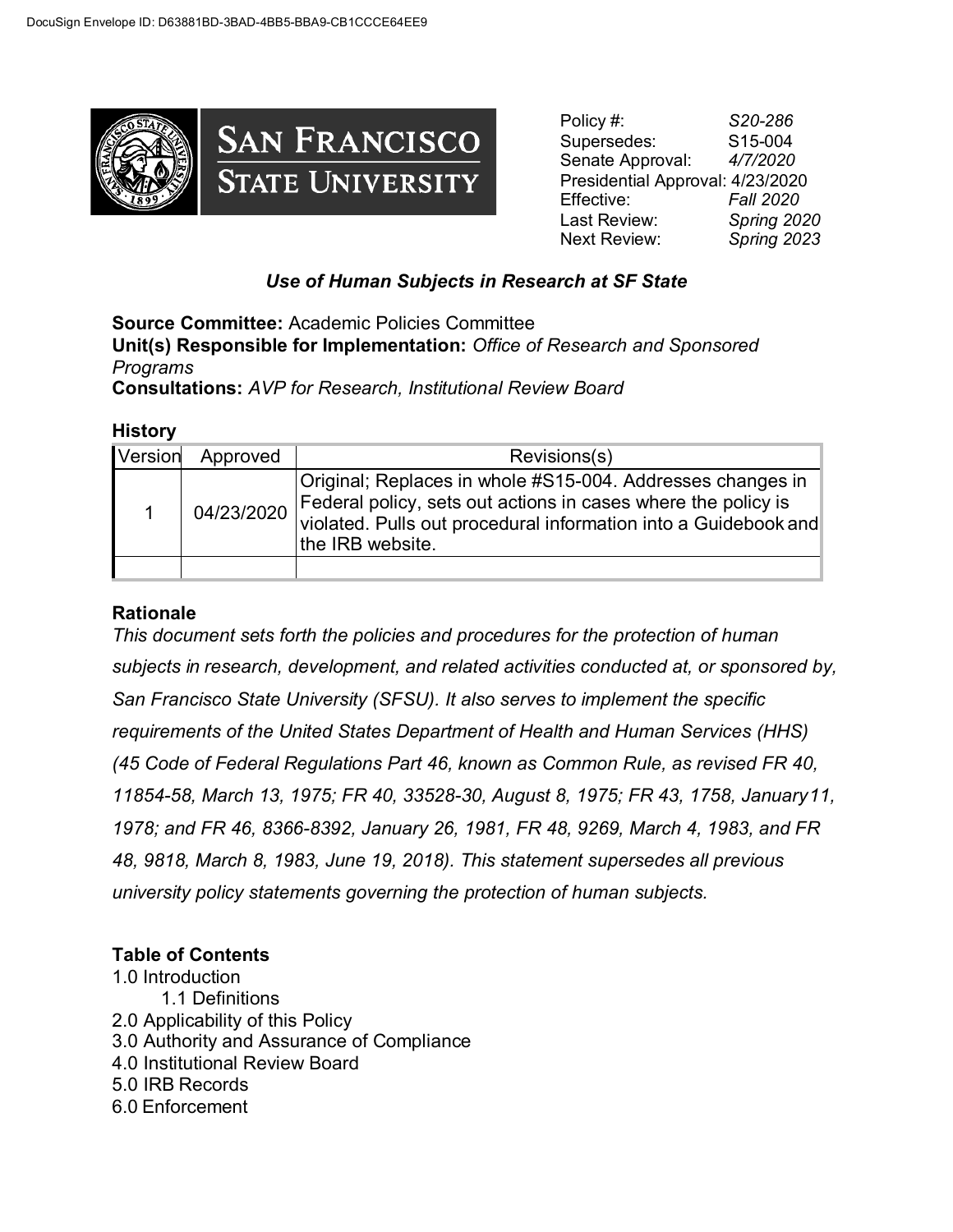

Policy #: *S20-286* Supersedes: S15-004 Senate Approval: *4/7/2020*  Presidential Approval: 4/23/2020 Effective: *Fall 2020* Last Review: *Spring 2020* Next Review: *Spring 2023*

## *Use of Human Subjects in Research at SF State*

**Source Committee:** Academic Policies Committee **Unit(s) Responsible for Implementation:** *Office of Research and Sponsored Programs* **Consultations:** *AVP for Research, Institutional Review Board*

#### **History**

| Version | Approved   | Revisions(s)                                                                                                                                                                                                       |
|---------|------------|--------------------------------------------------------------------------------------------------------------------------------------------------------------------------------------------------------------------|
|         | 04/23/2020 | Original; Replaces in whole #S15-004. Addresses changes in<br>Federal policy, sets out actions in cases where the policy is<br>violated. Pulls out procedural information into a Guidebook and<br>the IRB website. |
|         |            |                                                                                                                                                                                                                    |

## **Rationale**

*This document sets forth the policies and procedures for the protection of human subjects in research, development, and related activities conducted at, or sponsored by, San Francisco State University (SFSU). It also serves to implement the specific requirements of the United States Department of Health and Human Services (HHS) (45 Code of Federal Regulations Part 46, known as Common Rule, as revised FR 40, 11854-58, March 13, 1975; FR 40, 33528-30, August 8, 1975; FR 43, 1758, January11, 1978; and FR 46, 8366-8392, January 26, 1981, FR 48, 9269, March 4, 1983, and FR 48, 9818, March 8, 1983, June 19, 2018). This statement supersedes all previous university policy statements governing the protection of human subjects.*

## **Table of Contents**

1.0 Introduction 1.1 Definitions 2.0 Applicability of this Policy 3.0 Authority and Assurance of Compliance 4.0 Institutional Review Board 5.0 IRB Records 6.0 Enforcement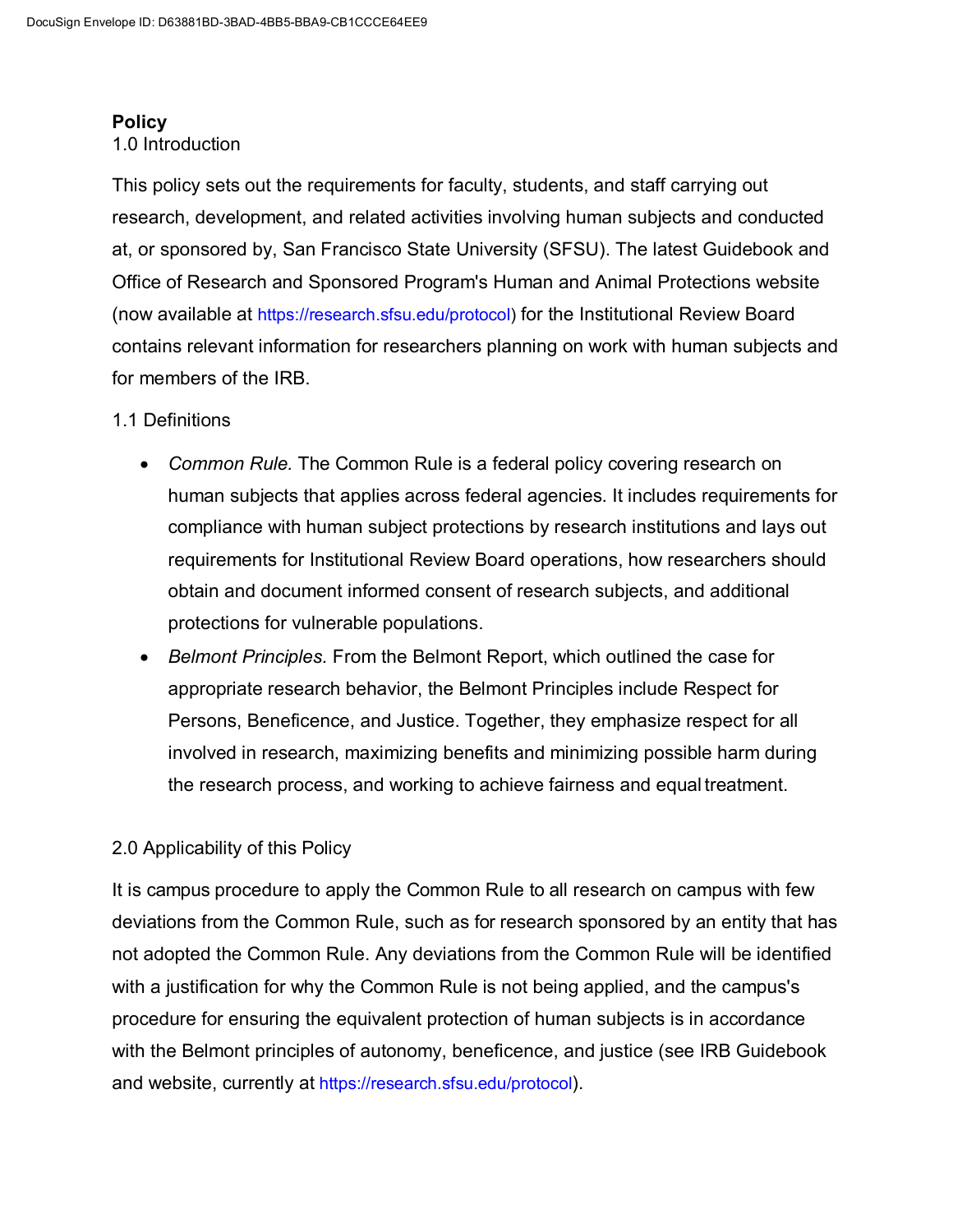#### **Policy**

#### 1.0 Introduction

This policy sets out the requirements for faculty, students, and staff carrying out research, development, and related activities involving human subjects and conducted at, or sponsored by, San Francisco State University (SFSU). The latest Guidebook and Office of Research and Sponsored Program's Human and Animal Protections website (now available at [https://research.sfsu.edu/protocol\)](https://research.sfsu.edu/protocol) for the Institutional Review Board contains relevant information for researchers planning on work with human subjects and for members of the IRB.

#### 1.1 Definitions

- *Common Rule.* The Common Rule is a federal policy covering research on human subjects that applies across federal agencies. It includes requirements for compliance with human subject protections by research institutions and lays out requirements for Institutional Review Board operations, how researchers should obtain and document informed consent of research subjects, and additional protections for vulnerable populations.
- *Belmont Principles.* From the Belmont Report, which outlined the case for appropriate research behavior, the Belmont Principles include Respect for Persons, Beneficence, and Justice. Together, they emphasize respect for all involved in research, maximizing benefits and minimizing possible harm during the research process, and working to achieve fairness and equal treatment.

## 2.0 Applicability of this Policy

It is campus procedure to apply the Common Rule to all research on campus with few deviations from the Common Rule, such as for research sponsored by an entity that has not adopted the Common Rule. Any deviations from the Common Rule will be identified with a justification for why the Common Rule is not being applied, and the campus's procedure for ensuring the equivalent protection of human subjects is in accordance with the Belmont principles of autonomy, beneficence, and justice (see IRB Guidebook and website, currently at [https://research.sfsu.edu/protocol\)](https://research.sfsu.edu/protocol).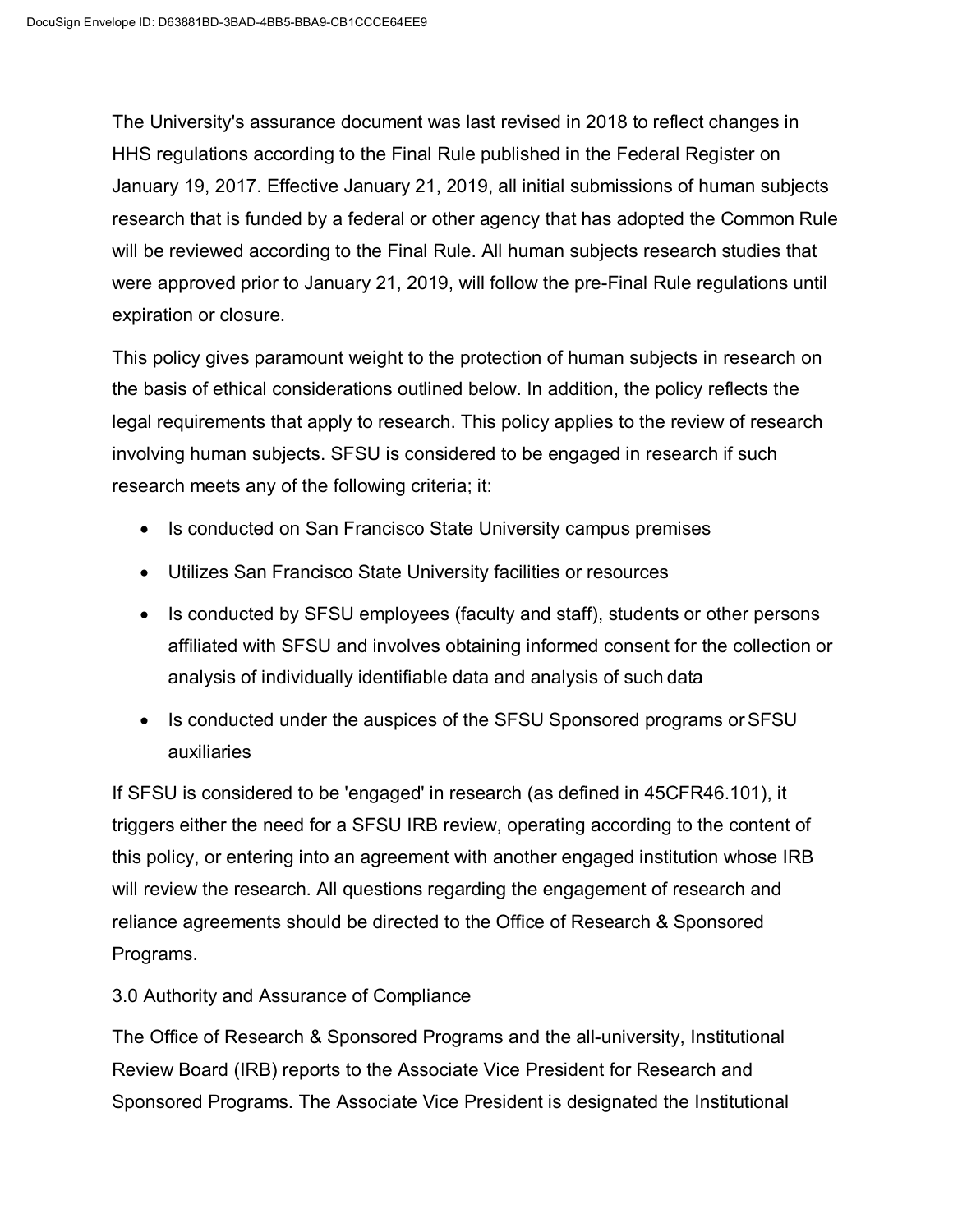The University's assurance document was last revised in 2018 to reflect changes in HHS regulations according to the Final Rule published in the Federal Register on January 19, 2017. Effective January 21, 2019, all initial submissions of human subjects research that is funded by a federal or other agency that has adopted the Common Rule will be reviewed according to the Final Rule. All human subjects research studies that were approved prior to January 21, 2019, will follow the pre-Final Rule regulations until expiration or closure.

This policy gives paramount weight to the protection of human subjects in research on the basis of ethical considerations outlined below. In addition, the policy reflects the legal requirements that apply to research. This policy applies to the review of research involving human subjects. SFSU is considered to be engaged in research if such research meets any of the following criteria; it:

- Is conducted on San Francisco State University campus premises
- Utilizes San Francisco State University facilities or resources
- Is conducted by SFSU employees (faculty and staff), students or other persons affiliated with SFSU and involves obtaining informed consent for the collection or analysis of individually identifiable data and analysis of such data
- Is conducted under the auspices of the SFSU Sponsored programs or SFSU auxiliaries

If SFSU is considered to be 'engaged' in research (as defined in 45CFR46.101), it triggers either the need for a SFSU IRB review, operating according to the content of this policy, or entering into an agreement with another engaged institution whose IRB will review the research. All questions regarding the engagement of research and reliance agreements should be directed to the Office of Research & Sponsored Programs.

## 3.0 Authority and Assurance of Compliance

The Office of Research & Sponsored Programs and the all-university, Institutional Review Board (IRB) reports to the Associate Vice President for Research and Sponsored Programs. The Associate Vice President is designated the Institutional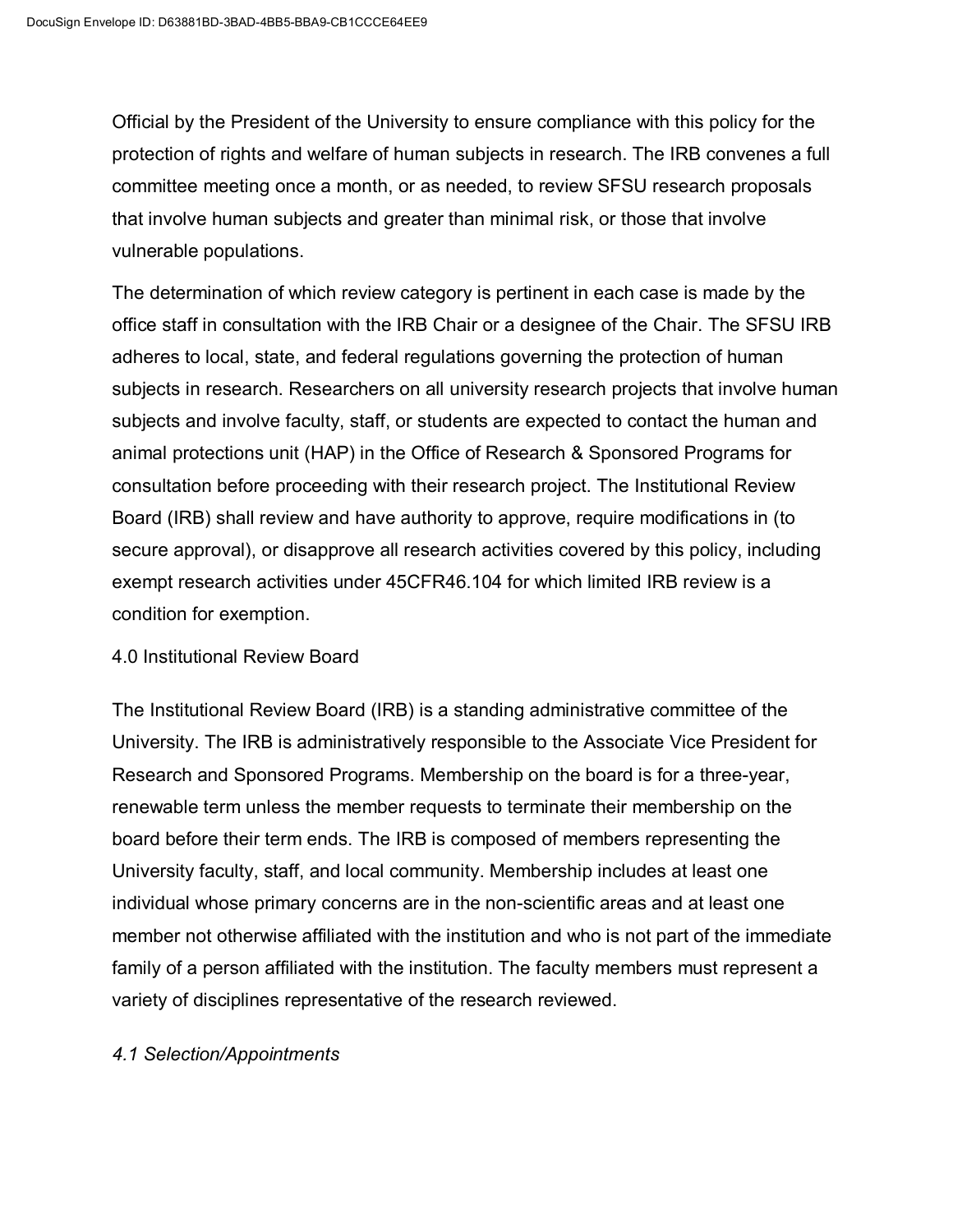Official by the President of the University to ensure compliance with this policy for the protection of rights and welfare of human subjects in research. The IRB convenes a full committee meeting once a month, or as needed, to review SFSU research proposals that involve human subjects and greater than minimal risk, or those that involve vulnerable populations.

The determination of which review category is pertinent in each case is made by the office staff in consultation with the IRB Chair or a designee of the Chair. The SFSU IRB adheres to local, state, and federal regulations governing the protection of human subjects in research. Researchers on all university research projects that involve human subjects and involve faculty, staff, or students are expected to contact the human and animal protections unit (HAP) in the Office of Research & Sponsored Programs for consultation before proceeding with their research project. The Institutional Review Board (IRB) shall review and have authority to approve, require modifications in (to secure approval), or disapprove all research activities covered by this policy, including exempt research activities under 45CFR46.104 for which limited IRB review is a condition for exemption.

#### 4.0 Institutional Review Board

The Institutional Review Board (IRB) is a standing administrative committee of the University. The IRB is administratively responsible to the Associate Vice President for Research and Sponsored Programs. Membership on the board is for a three-year, renewable term unless the member requests to terminate their membership on the board before their term ends. The IRB is composed of members representing the University faculty, staff, and local community. Membership includes at least one individual whose primary concerns are in the non-scientific areas and at least one member not otherwise affiliated with the institution and who is not part of the immediate family of a person affiliated with the institution. The faculty members must represent a variety of disciplines representative of the research reviewed.

#### *4.1 Selection/Appointments*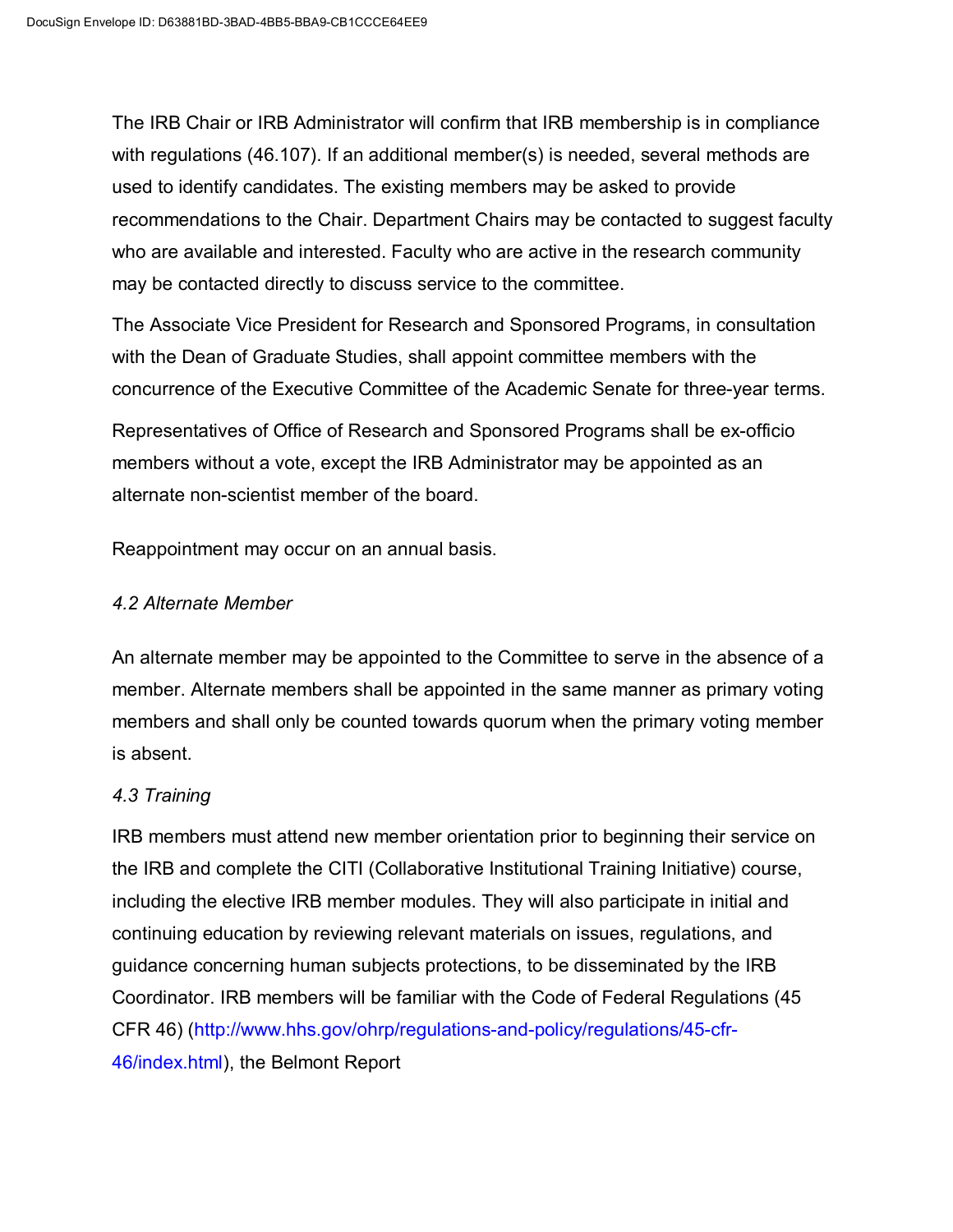The IRB Chair or IRB Administrator will confirm that IRB membership is in compliance with regulations (46.107). If an additional member(s) is needed, several methods are used to identify candidates. The existing members may be asked to provide recommendations to the Chair. Department Chairs may be contacted to suggest faculty who are available and interested. Faculty who are active in the research community may be contacted directly to discuss service to the committee.

The Associate Vice President for Research and Sponsored Programs, in consultation with the Dean of Graduate Studies, shall appoint committee members with the concurrence of the Executive Committee of the Academic Senate for three-year terms.

Representatives of Office of Research and Sponsored Programs shall be ex-officio members without a vote, except the IRB Administrator may be appointed as an alternate non-scientist member of the board.

Reappointment may occur on an annual basis.

#### *4.2 Alternate Member*

An alternate member may be appointed to the Committee to serve in the absence of a member. Alternate members shall be appointed in the same manner as primary voting members and shall only be counted towards quorum when the primary voting member is absent.

## *4.3 Training*

IRB members must attend new member orientation prior to beginning their service on the IRB and complete the CITI (Collaborative Institutional Training Initiative) course, including the elective IRB member modules. They will also participate in initial and continuing education by reviewing relevant materials on issues, regulations, and guidance concerning human subjects protections, to be disseminated by the IRB Coordinator. IRB members will be familiar with the Code of Federal Regulations (45 CFR 46) [\(http://www.hhs.gov/ohrp/regulations-and-policy/regulations/45-cfr-](http://www.hhs.gov/ohrp/regulations-and-policy/regulations/45-cfr-46/index.html)[46/index.html\)](http://www.hhs.gov/ohrp/regulations-and-policy/regulations/45-cfr-46/index.html), the Belmont Report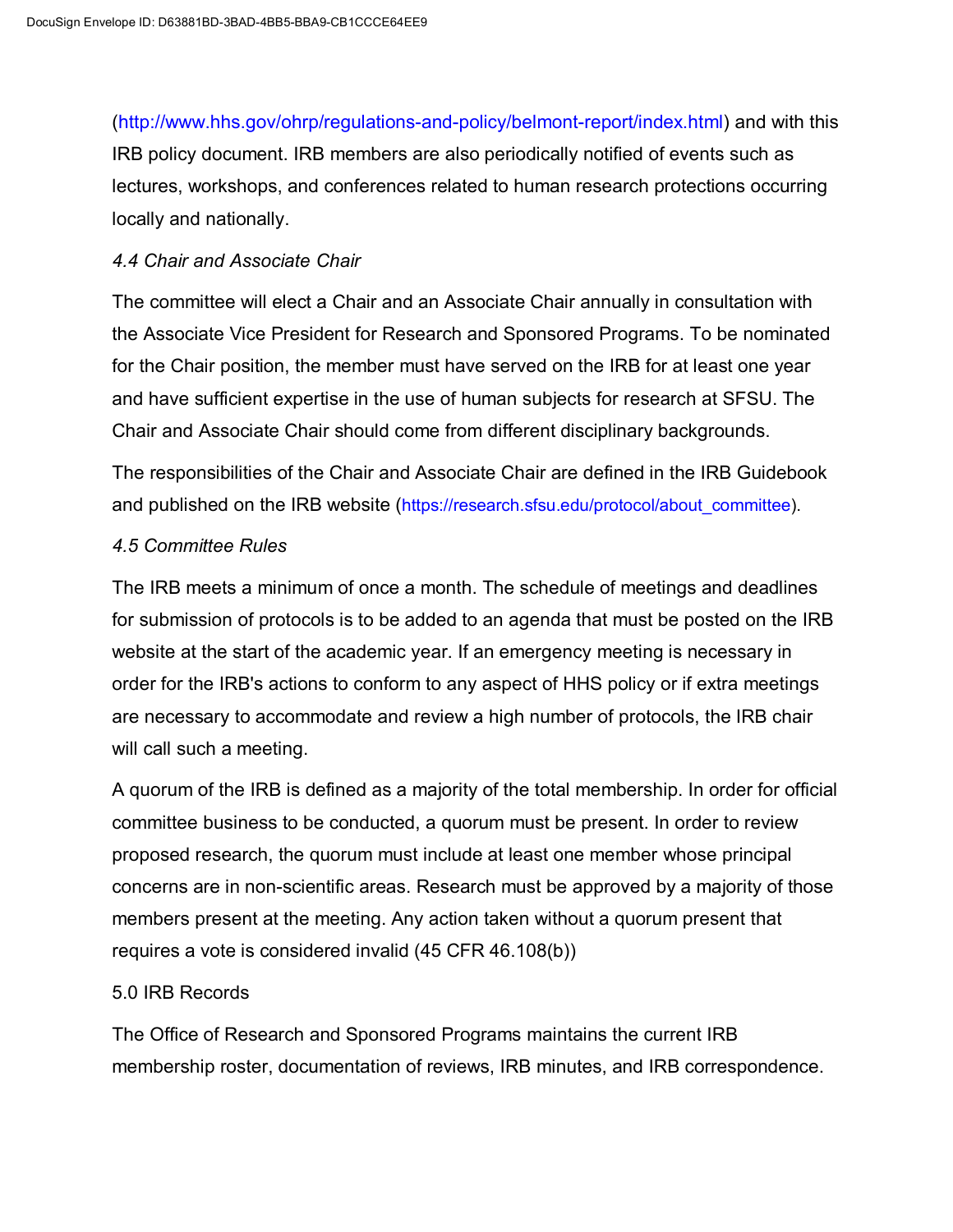[\(http://www.hhs.gov/ohrp/regulations-and-policy/belmont-report/index.html\)](http://www.hhs.gov/ohrp/regulations-and-policy/belmont-report/index.html) and with this IRB policy document. IRB members are also periodically notified of events such as lectures, workshops, and conferences related to human research protections occurring locally and nationally.

#### *4.4 Chair and Associate Chair*

The committee will elect a Chair and an Associate Chair annually in consultation with the Associate Vice President for Research and Sponsored Programs. To be nominated for the Chair position, the member must have served on the IRB for at least one year and have sufficient expertise in the use of human subjects for research at SFSU. The Chair and Associate Chair should come from different disciplinary backgrounds.

The responsibilities of the Chair and Associate Chair are defined in the IRB Guidebook and published on the IRB website [\(https://research.sfsu.edu/protocol/about\\_committee\)](https://research.sfsu.edu/protocol/about_committee).

#### *4.5 Committee Rules*

The IRB meets a minimum of once a month. The schedule of meetings and deadlines for submission of protocols is to be added to an agenda that must be posted on the IRB website at the start of the academic year. If an emergency meeting is necessary in order for the IRB's actions to conform to any aspect of HHS policy or if extra meetings are necessary to accommodate and review a high number of protocols, the IRB chair will call such a meeting.

A quorum of the IRB is defined as a majority of the total membership. In order for official committee business to be conducted, a quorum must be present. In order to review proposed research, the quorum must include at least one member whose principal concerns are in non-scientific areas. Research must be approved by a majority of those members present at the meeting. Any action taken without a quorum present that requires a vote is considered invalid (45 CFR 46.108(b))

#### 5.0 IRB Records

The Office of Research and Sponsored Programs maintains the current IRB membership roster, documentation of reviews, IRB minutes, and IRB correspondence.